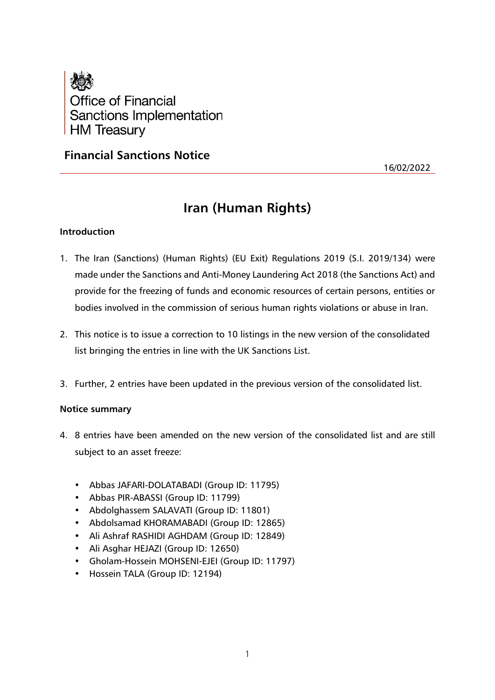

# **Financial Sanctions Notice**

16/02/2022

# **Iran (Human Rights)**

# **Introduction**

- 1. The Iran (Sanctions) (Human Rights) (EU Exit) Regulations 2019 (S.I. 2019/134) were made under the Sanctions and Anti-Money Laundering Act 2018 (the Sanctions Act) and provide for the freezing of funds and economic resources of certain persons, entities or bodies involved in the commission of serious human rights violations or abuse in Iran.
- 2. This notice is to issue a correction to 10 listings in the new version of the consolidated list bringing the entries in line with the UK Sanctions List.
- 3. Further, 2 entries have been updated in the previous version of the consolidated list.

#### **Notice summary**

- 4. 8 entries have been amended on the new version of the consolidated list and are still subject to an asset freeze:
	- Abbas JAFARI-DOLATABADI (Group ID: 11795)
	- Abbas PIR-ABASSI (Group ID: 11799)
	- Abdolghassem SALAVATI (Group ID: 11801)
	- Abdolsamad KHORAMABADI (Group ID: 12865)
	- Ali Ashraf RASHIDI AGHDAM (Group ID: 12849)
	- Ali Asghar HEJAZI (Group ID: 12650)
	- Gholam-Hossein MOHSENI-EJEI (Group ID: 11797)
	- Hossein TALA (Group ID: 12194)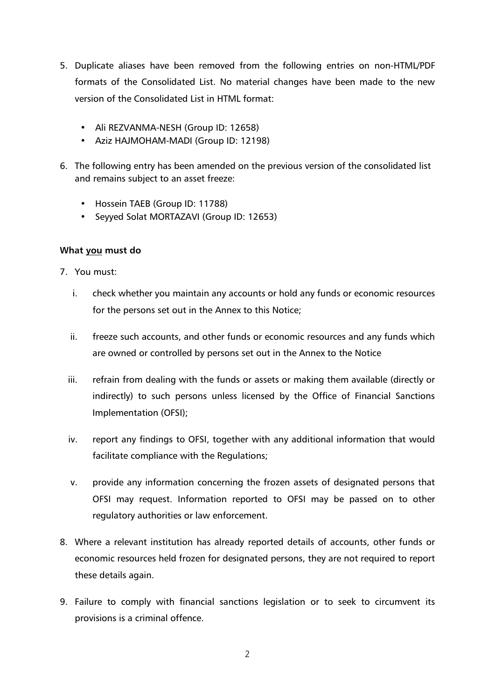- 5. Duplicate aliases have been removed from the following entries on non-HTML/PDF formats of the Consolidated List. No material changes have been made to the new version of the Consolidated List in HTML format:
	- Ali REZVANMA-NESH (Group ID: 12658)
	- Aziz HAJMOHAM-MADI (Group ID: 12198)
- 6. The following entry has been amended on the previous version of the consolidated list and remains subject to an asset freeze:
	- Hossein TAEB (Group ID: 11788)
	- Seyyed Solat MORTAZAVI (Group ID: 12653)

# **What you must do**

- 7. You must:
	- i. check whether you maintain any accounts or hold any funds or economic resources for the persons set out in the Annex to this Notice;
	- ii. freeze such accounts, and other funds or economic resources and any funds which are owned or controlled by persons set out in the Annex to the Notice
	- iii. refrain from dealing with the funds or assets or making them available (directly or indirectly) to such persons unless licensed by the Office of Financial Sanctions Implementation (OFSI);
	- iv. report any findings to OFSI, together with any additional information that would facilitate compliance with the Regulations;
	- v. provide any information concerning the frozen assets of designated persons that OFSI may request. Information reported to OFSI may be passed on to other regulatory authorities or law enforcement.
- 8. Where a relevant institution has already reported details of accounts, other funds or economic resources held frozen for designated persons, they are not required to report these details again.
- 9. Failure to comply with financial sanctions legislation or to seek to circumvent its provisions is a criminal offence.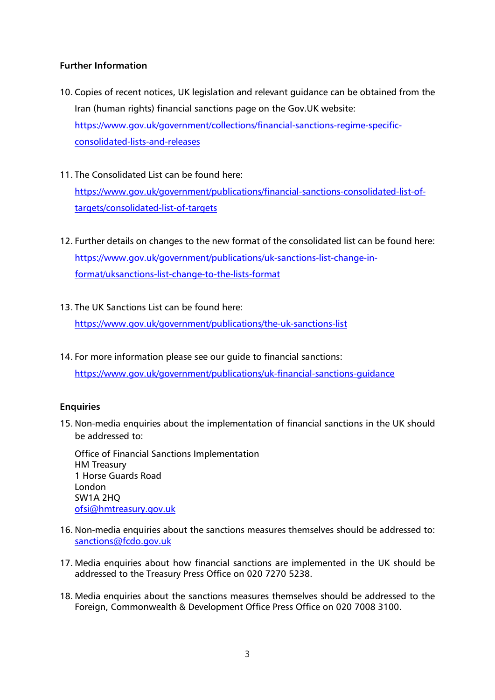# **Further Information**

- 10. Copies of recent notices, UK legislation and relevant guidance can be obtained from the Iran (human rights) financial sanctions page on the Gov.UK website: https://www.gov.uk/government/collections/financial-sanctions-regime-specificconsolidated-lists-and-releases
- 11. The Consolidated List can be found here: [https://www.gov.uk/government/publications/financial-sanctions-consolidated-list-of](https://www.gov.uk/government/publications/financial-sanctions-consolidated-list-of-targets/consolidated-list-of-targets)[targets/consolidated-list-of-targets](https://www.gov.uk/government/publications/financial-sanctions-consolidated-list-of-targets/consolidated-list-of-targets)
- 12. Further details on changes to the new format of the consolidated list can be found here: [https://www.gov.uk/government/publications/uk-sanctions-list-change-in](https://www.gov.uk/government/publications/uk-sanctions-list-change-in-format/uksanctions-list-change-to-the-lists-format)[format/uksanctions-list-change-to-the-lists-format](https://www.gov.uk/government/publications/uk-sanctions-list-change-in-format/uksanctions-list-change-to-the-lists-format)
- 13. The UK Sanctions List can be found here:

<https://www.gov.uk/government/publications/the-uk-sanctions-list>

14. For more information please see our guide to financial sanctions: <https://www.gov.uk/government/publications/uk-financial-sanctions-guidance>

#### **Enquiries**

15. Non-media enquiries about the implementation of financial sanctions in the UK should be addressed to:

Office of Financial Sanctions Implementation HM Treasury 1 Horse Guards Road London SW1A 2HQ [ofsi@hmtreasury.gov.uk](mailto:ofsi@hmtreasury.gov.uk)

- 16. Non-media enquiries about the sanctions measures themselves should be addressed to: [sanctions@fcdo.gov.uk](mailto:sanctions@fcdo.gov.uk)
- 17. Media enquiries about how financial sanctions are implemented in the UK should be addressed to the Treasury Press Office on 020 7270 5238.
- 18. Media enquiries about the sanctions measures themselves should be addressed to the Foreign, Commonwealth & Development Office Press Office on 020 7008 3100.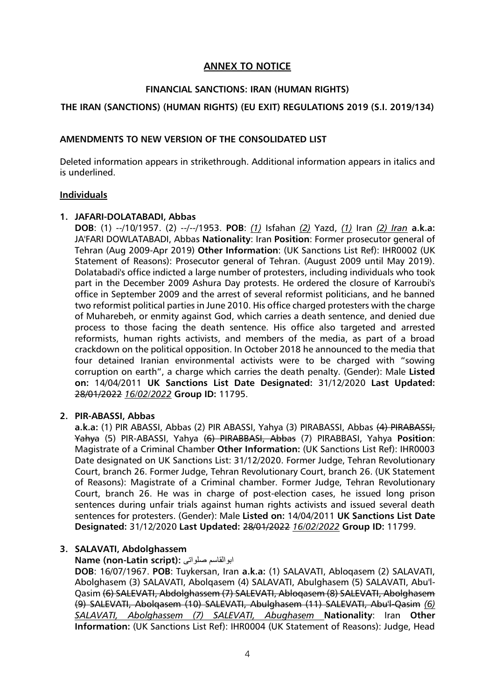# **ANNEX TO NOTICE**

#### **FINANCIAL SANCTIONS: IRAN (HUMAN RIGHTS)**

#### **THE IRAN (SANCTIONS) (HUMAN RIGHTS) (EU EXIT) REGULATIONS 2019 (S.I. 2019/134)**

#### **AMENDMENTS TO NEW VERSION OF THE CONSOLIDATED LIST**

Deleted information appears in strikethrough. Additional information appears in italics and is underlined.

#### **Individuals**

#### **1. JAFARI-DOLATABADI, Abbas**

**DOB**: (1) --/10/1957. (2) --/--/1953. **POB**: *(1)* Isfahan *(2)* Yazd, *(1)* Iran *(2) Iran* **a.k.a:** JA'FARI DOWLATABADI, Abbas **Nationality**: Iran **Position**: Former prosecutor general of Tehran (Aug 2009-Apr 2019) **Other Information**: (UK Sanctions List Ref): IHR0002 (UK Statement of Reasons): Prosecutor general of Tehran. (August 2009 until May 2019). Dolatabadi's office indicted a large number of protesters, including individuals who took part in the December 2009 Ashura Day protests. He ordered the closure of Karroubi's office in September 2009 and the arrest of several reformist politicians, and he banned two reformist political parties in June 2010. His office charged protesters with the charge of Muharebeh, or enmity against God, which carries a death sentence, and denied due process to those facing the death sentence. His office also targeted and arrested reformists, human rights activists, and members of the media, as part of a broad crackdown on the political opposition. In October 2018 he announced to the media that four detained Iranian environmental activists were to be charged with "sowing corruption on earth", a charge which carries the death penalty. (Gender): Male **Listed on:** 14/04/2011 **UK Sanctions List Date Designated:** 31/12/2020 **Last Updated:** 28/01/2022 *16/02/2022* **Group ID:** 11795.

#### **2. PIR-ABASSI, Abbas**

**a.k.a:** (1) PIR ABASSI, Abbas (2) PIR ABASSI, Yahya (3) PIRABASSI, Abbas (4) PIRABASSI, Yahya (5) PIR-ABASSI, Yahya (6) PIRABBASI, Abbas (7) PIRABBASI, Yahya **Position**: Magistrate of a Criminal Chamber **Other Information:** (UK Sanctions List Ref): IHR0003 Date designated on UK Sanctions List: 31/12/2020. Former Judge, Tehran Revolutionary Court, branch 26. Former Judge, Tehran Revolutionary Court, branch 26. (UK Statement of Reasons): Magistrate of a Criminal chamber. Former Judge, Tehran Revolutionary Court, branch 26. He was in charge of post-election cases, he issued long prison sentences during unfair trials against human rights activists and issued several death sentences for protesters. (Gender): Male **Listed on:** 14/04/2011 **UK Sanctions List Date Designated:** 31/12/2020 **Last Updated:** 28/01/2022 *16/02/2022* **Group ID:** 11799.

#### **3. SALAVATI, Abdolghassem**

#### **Name (non-Latin script):** صلواتی ابوالقاسم

**DOB**: 16/07/1967. **POB**: Tuykersan, Iran **a.k.a:** (1) SALAVATI, Abloqasem (2) SALAVATI, Abolghasem (3) SALAVATI, Abolqasem (4) SALAVATI, Abulghasem (5) SALAVATI, Abu'l-Qasim (6) SALEVATI, Abdolghassem (7) SALEVATI, Abloqasem (8) SALEVATI, Abolghasem (9) SALEVATI, Abolqasem (10) SALEVATI, Abulghasem (11) SALEVATI, Abu'l-Qasim *(6) SALAVATI, Abolghassem (7) SALEVATI, Abughasem* **Nationality**: Iran **Other Information:** (UK Sanctions List Ref): IHR0004 (UK Statement of Reasons): Judge, Head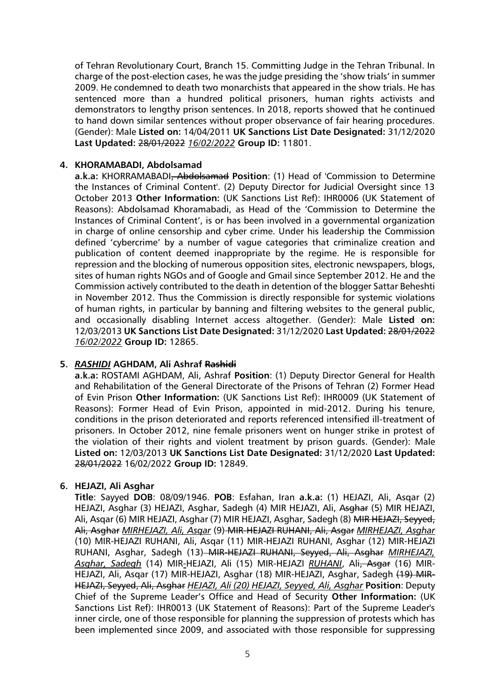of Tehran Revolutionary Court, Branch 15. Committing Judge in the Tehran Tribunal. In charge of the post-election cases, he was the judge presiding the 'show trials' in summer 2009. He condemned to death two monarchists that appeared in the show trials. He has sentenced more than a hundred political prisoners, human rights activists and demonstrators to lengthy prison sentences. In 2018, reports showed that he continued to hand down similar sentences without proper observance of fair hearing procedures. (Gender): Male **Listed on:** 14/04/2011 **UK Sanctions List Date Designated:** 31/12/2020 **Last Updated:** 28/01/2022 *16/02/2022* **Group ID:** 11801.

#### **4. KHORAMABADI, Abdolsamad**

**a.k.a:** KHORRAMABADI, Abdolsamad **Position**: (1) Head of 'Commission to Determine the Instances of Criminal Content'. (2) Deputy Director for Judicial Oversight since 13 October 2013 **Other Information:** (UK Sanctions List Ref): IHR0006 (UK Statement of Reasons): Abdolsamad Khoramabadi, as Head of the 'Commission to Determine the Instances of Criminal Content', is or has been involved in a governmental organization in charge of online censorship and cyber crime. Under his leadership the Commission defined 'cybercrime' by a number of vague categories that criminalize creation and publication of content deemed inappropriate by the regime. He is responsible for repression and the blocking of numerous opposition sites, electronic newspapers, blogs, sites of human rights NGOs and of Google and Gmail since September 2012. He and the Commission actively contributed to the death in detention of the blogger Sattar Beheshti in November 2012. Thus the Commission is directly responsible for systemic violations of human rights, in particular by banning and filtering websites to the general public, and occasionally disabling Internet access altogether. (Gender): Male **Listed on:**  12/03/2013 **UK Sanctions List Date Designated:** 31/12/2020 **Last Updated:** 28/01/2022 *16/02/2022* **Group ID:** 12865.

#### **5.** *RASHIDI* **AGHDAM, Ali Ashraf Rashidi**

**a.k.a:** ROSTAMI AGHDAM, Ali, Ashraf **Position**: (1) Deputy Director General for Health and Rehabilitation of the General Directorate of the Prisons of Tehran (2) Former Head of Evin Prison **Other Information:** (UK Sanctions List Ref): IHR0009 (UK Statement of Reasons): Former Head of Evin Prison, appointed in mid-2012. During his tenure, conditions in the prison deteriorated and reports referenced intensified ill-treatment of prisoners. In October 2012, nine female prisoners went on hunger strike in protest of the violation of their rights and violent treatment by prison guards. (Gender): Male **Listed on:** 12/03/2013 **UK Sanctions List Date Designated:** 31/12/2020 **Last Updated:**  28/01/2022 16/02/2022 **Group ID:** 12849.

#### **6. HEJAZI, Ali Asghar**

**Title**: Sayyed **DOB**: 08/09/1946. **POB**: Esfahan, Iran **a.k.a:** (1) HEJAZI, Ali, Asqar (2) HEJAZI, Asghar (3) HEJAZI, Asghar, Sadegh (4) MIR HEJAZI, Ali, Asghar (5) MIR HEJAZI, Ali, Asqar (6) MIR HEJAZI, Asghar (7) MIR HEJAZI, Asghar, Sadegh (8) MIR HEJAZI, Seyyed, Ali, Asghar *MIRHEJAZI, Ali, Asqar* (9) MIR-HEJAZI RUHANI, Ali, Asgar *MIRHEJAZI, Asghar* (10) MIR-HEJAZI RUHANI, Ali, Asqar (11) MIR-HEJAZI RUHANI, Asghar (12) MIR-HEJAZI RUHANI, Asghar, Sadegh (13)-MIR-HEJAZI RUHANI, Seyyed, Ali, Asghar *MIRHEJAZI*, *Asghar, Sadegh* (14) MIR*-*HEJAZI, Ali (15) MIR-HEJAZI *RUHANI*, Ali, Asgar (16) MIR-HEJAZI, Ali, Asqar (17) MIR-HEJAZI, Asghar (18) MIR-HEJAZI, Asghar, Sadegh (19) MIR-HEJAZI, Seyyed, Ali, Asghar *HEJAZI, Ali (20) HEJAZI, Seyyed, Ali, Asghar* **Position**: Deputy Chief of the Supreme Leader's Office and Head of Security **Other Information:** (UK Sanctions List Ref): IHR0013 (UK Statement of Reasons): Part of the Supreme Leader's inner circle, one of those responsible for planning the suppression of protests which has been implemented since 2009, and associated with those responsible for suppressing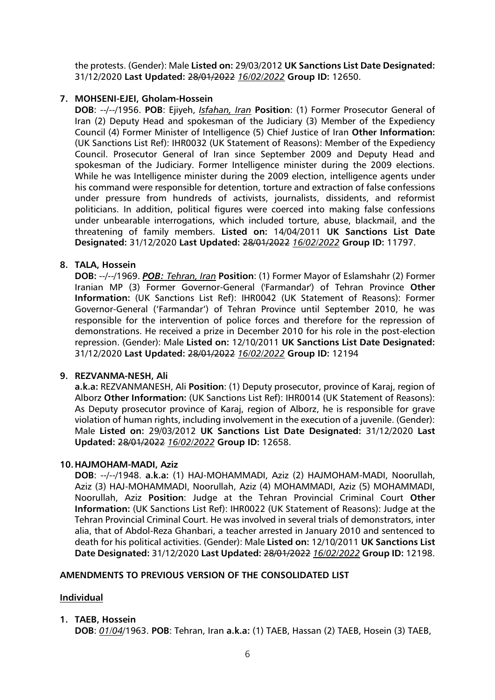the protests. (Gender): Male **Listed on:** 29/03/2012 **UK Sanctions List Date Designated:** 31/12/2020 **Last Updated:** 28/01/2022 *16/02/2022* **Group ID:** 12650.

### **7. MOHSENI-EJEI, Gholam-Hossein**

**DOB**: --/--/1956. **POB**: Ejiyeh, *Isfahan, Iran* **Position**: (1) Former Prosecutor General of Iran (2) Deputy Head and spokesman of the Judiciary (3) Member of the Expediency Council (4) Former Minister of Intelligence (5) Chief Justice of Iran **Other Information:** (UK Sanctions List Ref): IHR0032 (UK Statement of Reasons): Member of the Expediency Council. Prosecutor General of Iran since September 2009 and Deputy Head and spokesman of the Judiciary. Former Intelligence minister during the 2009 elections. While he was Intelligence minister during the 2009 election, intelligence agents under his command were responsible for detention, torture and extraction of false confessions under pressure from hundreds of activists, journalists, dissidents, and reformist politicians. In addition, political figures were coerced into making false confessions under unbearable interrogations, which included torture, abuse, blackmail, and the threatening of family members. **Listed on:** 14/04/2011 **UK Sanctions List Date Designated:** 31/12/2020 **Last Updated:** 28/01/2022 *16/02/2022* **Group ID:** 11797.

# **8. TALA, Hossein**

**DOB:** --/--/1969. *POB: Tehran, Iran* **Position**: (1) Former Mayor of Eslamshahr (2) Former Iranian MP (3) Former Governor-General ('Farmandar') of Tehran Province **Other Information:** (UK Sanctions List Ref): IHR0042 (UK Statement of Reasons): Former Governor-General ('Farmandar') of Tehran Province until September 2010, he was responsible for the intervention of police forces and therefore for the repression of demonstrations. He received a prize in December 2010 for his role in the post-election repression. (Gender): Male **Listed on:** 12/10/2011 **UK Sanctions List Date Designated:**  31/12/2020 **Last Updated:** 28/01/2022 *16/02/2022* **Group ID:** 12194

#### **9. REZVANMA-NESH, Ali**

**a.k.a:** REZVANMANESH, Ali **Position**: (1) Deputy prosecutor, province of Karaj, region of Alborz **Other Information:** (UK Sanctions List Ref): IHR0014 (UK Statement of Reasons): As Deputy prosecutor province of Karaj, region of Alborz, he is responsible for grave violation of human rights, including involvement in the execution of a juvenile. (Gender): Male **Listed on:** 29/03/2012 **UK Sanctions List Date Designated:** 31/12/2020 **Last Updated:** 28/01/2022 *16/02/2022* **Group ID:** 12658.

#### **10.HAJMOHAM-MADI, Aziz**

**DOB**: --/--/1948. **a.k.a:** (1) HAJ-MOHAMMADI, Aziz (2) HAJMOHAM-MADI, Noorullah, Aziz (3) HAJ-MOHAMMADI, Noorullah, Aziz (4) MOHAMMADI, Aziz (5) MOHAMMADI, Noorullah, Aziz **Position**: Judge at the Tehran Provincial Criminal Court **Other Information:** (UK Sanctions List Ref): IHR0022 (UK Statement of Reasons): Judge at the Tehran Provincial Criminal Court. He was involved in several trials of demonstrators, inter alia, that of Abdol-Reza Ghanbari, a teacher arrested in January 2010 and sentenced to death for his political activities. (Gender): Male **Listed on:** 12/10/2011 **UK Sanctions List Date Designated:** 31/12/2020 **Last Updated:** 28/01/2022 *16/02/2022* **Group ID:** 12198.

#### **AMENDMENTS TO PREVIOUS VERSION OF THE CONSOLIDATED LIST**

#### **Individual**

**1. TAEB, Hossein**

**DOB**: *01/04*/1963. **POB**: Tehran, Iran **a.k.a:** (1) TAEB, Hassan (2) TAEB, Hosein (3) TAEB,